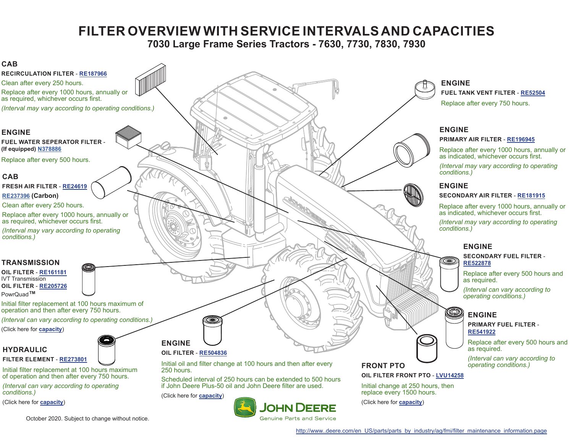## **FILTER OVERVIEW WITH SERVICE INTERVALS AND CAPACITIES**

**7030 Large Frame Series Tractors - 7630, 7730, 7830, 7930**

<span id="page-0-0"></span>

October 2020. Subject to change without notice.

[http://www..deere.com/en\\_US/parts/parts\\_by\\_industry/ag/fmi/filter\\_maintenance\\_information.page](http://www.deere.com/en_US/parts/servicessupport/filteroverviews.html)